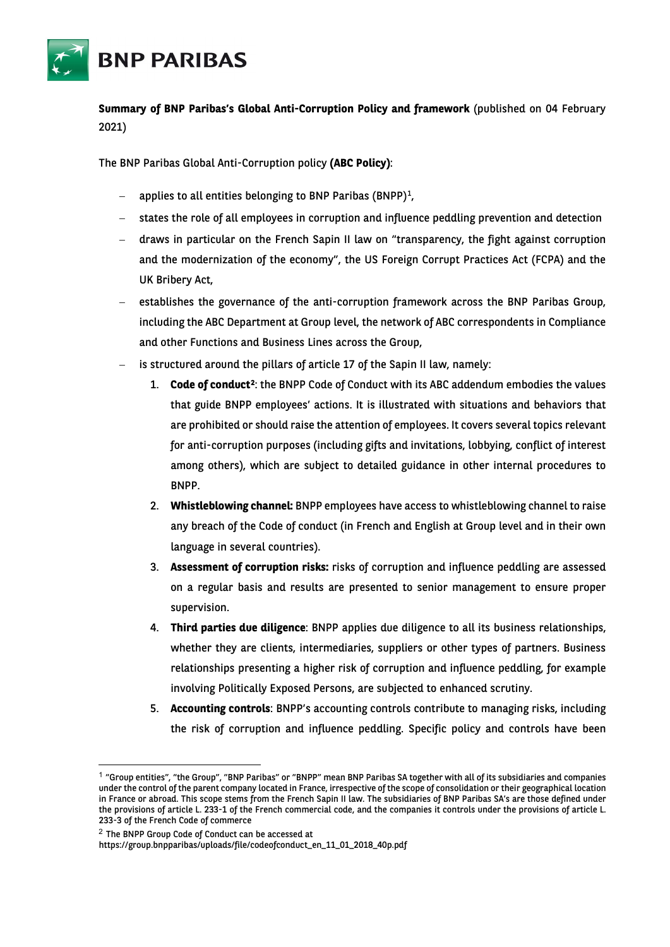

**Summary of BNP Paribas's Global Anti-Corruption Policy and framework** (published on 04 February 2021)

The BNP Paribas Global Anti-Corruption policy **(ABC Policy)**:

- applies to all entities belonging to BNP Paribas (BNPP)<sup>1</sup>,
- − states the role of all employees in corruption and influence peddling prevention and detection
- − draws in particular on the French Sapin II law on "transparency, the fight against corruption and the modernization of the economy", the US Foreign Corrupt Practices Act (FCPA) and the UK Bribery Act,
- establishes the governance of the anti-corruption framework across the BNP Paribas Group, including the ABC Department at Group level, the network of ABC correspondents in Compliance and other Functions and Business Lines across the Group,
- is structured around the pillars of article 17 of the Sapin II law, namely:
	- 1. **Code of conduct[2](#page-0-1)**: the BNPP Code of Conduct with its ABC addendum embodies the values that guide BNPP employees' actions. It is illustrated with situations and behaviors that are prohibited or should raise the attention of employees. It covers several topics relevant for anti-corruption purposes (including gifts and invitations, lobbying, conflict of interest among others), which are subject to detailed guidance in other internal procedures to BNPP.
	- 2. **Whistleblowing channel:** BNPP employees have access to whistleblowing channel to raise any breach of the Code of conduct (in French and English at Group level and in their own language in several countries).
	- 3. **Assessment of corruption risks:** risks of corruption and influence peddling are assessed on a regular basis and results are presented to senior management to ensure proper supervision.
	- 4. **Third parties due diligence**: BNPP applies due diligence to all its business relationships, whether they are clients, intermediaries, suppliers or other types of partners. Business relationships presenting a higher risk of corruption and influence peddling, for example involving Politically Exposed Persons, are subjected to enhanced scrutiny.
	- 5. **Accounting controls**: BNPP's accounting controls contribute to managing risks, including the risk of corruption and influence peddling. Specific policy and controls have been

<span id="page-0-0"></span><sup>1</sup> "Group entities", "the Group", "BNP Paribas" or "BNPP" mean BNP Paribas SA together with all of its subsidiaries and companies under the control of the parent company located in France, irrespective of the scope of consolidation or their geographical location in France or abroad. This scope stems from the French Sapin II law. The subsidiaries of BNP Paribas SA's are those defined under the provisions of article L. 233-1 of the French commercial code, and the companies it controls under the provisions of article L. 233-3 of the French Code of commerce

<span id="page-0-1"></span><sup>2</sup> The BNPP Group Code of Conduct can be accessed at

https://group.bnpparibas/uploads/file/codeofconduct\_en\_11\_01\_2018\_40p.pdf